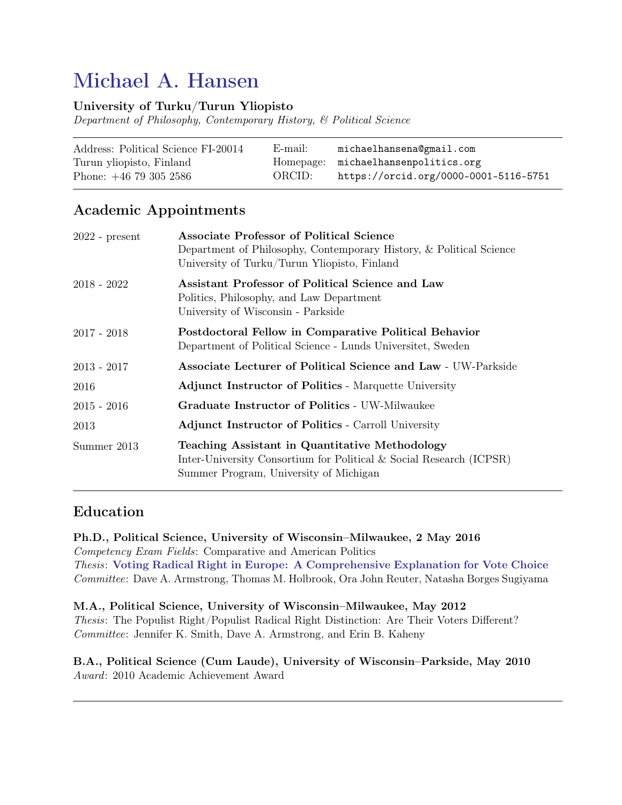# Michael A. Hansen

### University of Turku/Turun Yliopisto

Department of Philosophy, Contemporary History, & Political Science

| Address: Political Science FI-20014 | E-mail: | michaelhansena@gmail.com              |
|-------------------------------------|---------|---------------------------------------|
| Turun yliopisto, Finland            |         | Homepage: michaelhansenpolitics.org   |
| Phone: $+46$ 79 305 2586            | ORCID:  | https://orcid.org/0000-0001-5116-5751 |

### Academic Appointments

| $2022$ - present | <b>Associate Professor of Political Science</b><br>Department of Philosophy, Contemporary History, & Political Science<br>University of Turku/Turun Yliopisto, Finland |
|------------------|------------------------------------------------------------------------------------------------------------------------------------------------------------------------|
| $2018 - 2022$    | Assistant Professor of Political Science and Law<br>Politics, Philosophy, and Law Department<br>University of Wisconsin - Parkside                                     |
| $2017 - 2018$    | Postdoctoral Fellow in Comparative Political Behavior<br>Department of Political Science - Lunds Universitet, Sweden                                                   |
| $2013 - 2017$    | <b>Associate Lecturer of Political Science and Law - UW-Parkside</b>                                                                                                   |
| 2016             | <b>Adjunct Instructor of Politics - Marquette University</b>                                                                                                           |
| $2015 - 2016$    | Graduate Instructor of Politics - UW-Milwaukee                                                                                                                         |
| 2013             | <b>Adjunct Instructor of Politics - Carroll University</b>                                                                                                             |
| Summer 2013      | Teaching Assistant in Quantitative Methodology<br>Inter-University Consortium for Political & Social Research (ICPSR)<br>Summer Program, University of Michigan        |

### Education

Ph.D., Political Science, University of Wisconsin–Milwaukee, 2 May 2016 Competency Exam Fields: Comparative and American Politics Thesis: [Voting Radical Right in Europe: A Comprehensive Explanation for Vote Choice](https://search.proquest.com/openview/07fb6ae1d24f33c4b77b5460abe4912c/1?pq-origsite=gscholar&cbl=18750&diss=y) Committee: Dave A. Armstrong, Thomas M. Holbrook, Ora John Reuter, Natasha Borges Sugiyama

M.A., Political Science, University of Wisconsin–Milwaukee, May 2012 Thesis: The Populist Right/Populist Radical Right Distinction: Are Their Voters Different? Committee: Jennifer K. Smith, Dave A. Armstrong, and Erin B. Kaheny

#### B.A., Political Science (Cum Laude), University of Wisconsin–Parkside, May 2010 Award: 2010 Academic Achievement Award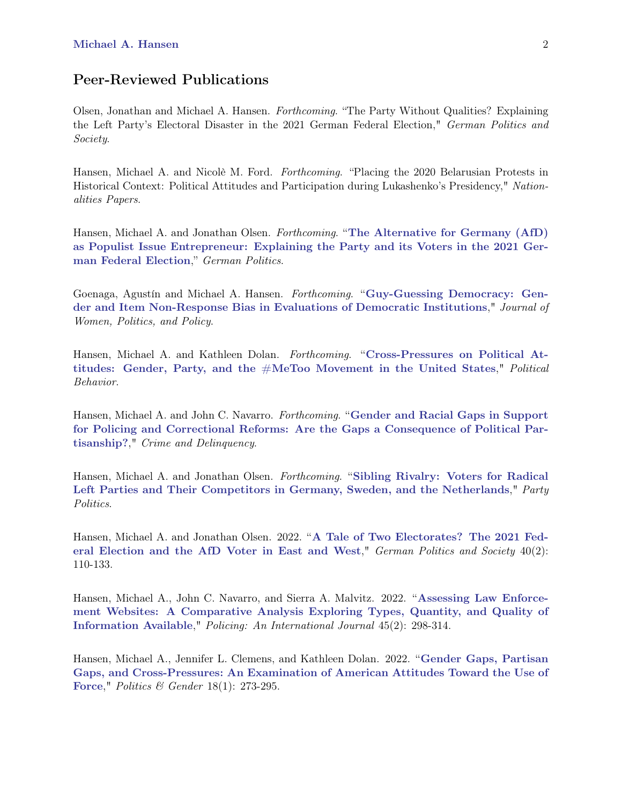### Peer-Reviewed Publications

Olsen, Jonathan and Michael A. Hansen. Forthcoming. "The Party Without Qualities? Explaining the Left Party's Electoral Disaster in the 2021 German Federal Election," German Politics and Society.

Hansen, Michael A. and Nicolè M. Ford. Forthcoming. "Placing the 2020 Belarusian Protests in Historical Context: Political Attitudes and Participation during Lukashenko's Presidency," Nationalities Papers.

Hansen, Michael A. and Jonathan Olsen. Forthcoming. "[The Alternative for Germany \(AfD\)](https://doi.org/10.1080/09644008.2022.2087871) [as Populist Issue Entrepreneur: Explaining the Party and its Voters in the 2021 Ger](https://doi.org/10.1080/09644008.2022.2087871)[man Federal Election](https://doi.org/10.1080/09644008.2022.2087871)," German Politics.

Goenaga, Agustín and Michael A. Hansen. Forthcoming. "[Guy-Guessing Democracy: Gen](https://doi.org/10.1080/1554477X.2022.2053823)[der and Item Non-Response Bias in Evaluations of Democratic Institutions](https://doi.org/10.1080/1554477X.2022.2053823)," Journal of Women, Politics, and Policy.

Hansen, Michael A. and Kathleen Dolan. Forthcoming. "[Cross-Pressures on Political At](https://doi.org/10.1007/s11109-021-09763-1)titudes: Gender, Party, and the  $#$ MeToo Movement in the United States," *Political* Behavior.

Hansen, Michael A. and John C. Navarro. *Forthcoming.* "[Gender and Racial Gaps in Support](https://doi.org/10.1177/00111287211064788) [for Policing and Correctional Reforms: Are the Gaps a Consequence of Political Par](https://doi.org/10.1177/00111287211064788)[tisanship?](https://doi.org/10.1177/00111287211064788)," Crime and Delinquency.

Hansen, Michael A. and Jonathan Olsen. Forthcoming. "[Sibling Rivalry: Voters for Radical](https://doi.org/10.1177/13540688211035027) [Left Parties and Their Competitors in Germany, Sweden, and the Netherlands](https://doi.org/10.1177/13540688211035027)," Party Politics.

Hansen, Michael A. and Jonathan Olsen. 2022. "[A Tale of Two Electorates? The 2021 Fed](https://doi.org/10.3167/gps.2022.400206)[eral Election and the AfD Voter in East and West](https://doi.org/10.3167/gps.2022.400206)," German Politics and Society 40(2): 110-133.

Hansen, Michael A., John C. Navarro, and Sierra A. Malvitz. 2022. "[Assessing Law Enforce](https://doi.org/10.1108/PIJPSM-09-2021-0128)[ment Websites: A Comparative Analysis Exploring Types, Quantity, and Quality of](https://doi.org/10.1108/PIJPSM-09-2021-0128) [Information Available](https://doi.org/10.1108/PIJPSM-09-2021-0128)," Policing: An International Journal 45(2): 298-314.

Hansen, Michael A., Jennifer L. Clemens, and Kathleen Dolan. 2022. "[Gender Gaps, Partisan](https://doi.org/10.1017/S1743923X20000690) [Gaps, and Cross-Pressures: An Examination of American Attitudes Toward the Use of](https://doi.org/10.1017/S1743923X20000690) [Force](https://doi.org/10.1017/S1743923X20000690)," Politics & Gender 18(1): 273-295.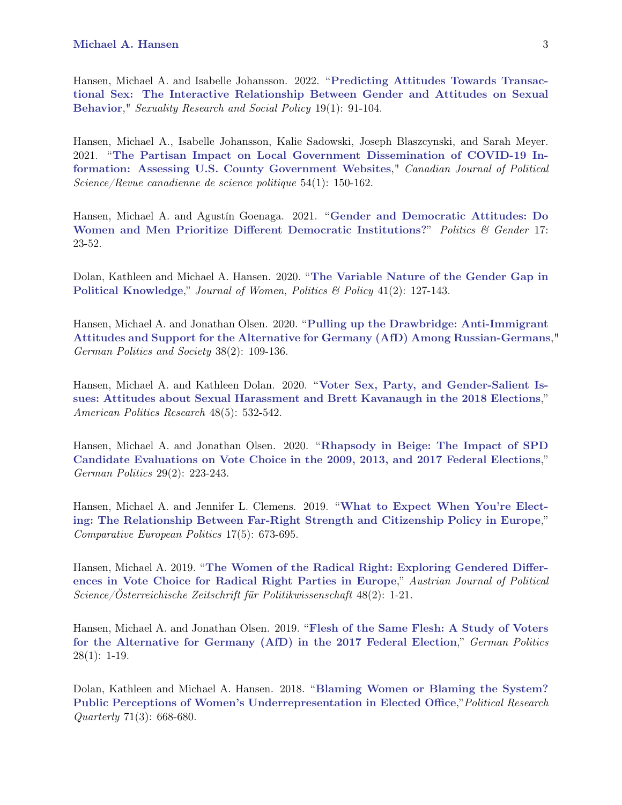Hansen, Michael A. and Isabelle Johansson. 2022. "[Predicting Attitudes Towards Transac](https://doi.org/10.1007/s13178-020-00527-w)[tional Sex: The Interactive Relationship Between Gender and Attitudes on Sexual](https://doi.org/10.1007/s13178-020-00527-w) [Behavior](https://doi.org/10.1007/s13178-020-00527-w)," Sexuality Research and Social Policy 19(1): 91-104.

Hansen, Michael A., Isabelle Johansson, Kalie Sadowski, Joseph Blaszcynski, and Sarah Meyer. 2021. "[The Partisan Impact on Local Government Dissemination of COVID-19 In](https://doi.org/10.1017/S0008423920000918)[formation: Assessing U.S. County Government Websites](https://doi.org/10.1017/S0008423920000918)," Canadian Journal of Political Science/Revue canadienne de science politique 54(1): 150-162.

Hansen, Michael A. and Agustín Goenaga. 2021. "[Gender and Democratic Attitudes: Do](https://doi.org/10.1017/S1743923X19000473) [Women and Men Prioritize Different Democratic Institutions?](https://doi.org/10.1017/S1743923X19000473)" Politics & Gender 17: 23-52.

Dolan, Kathleen and Michael A. Hansen. 2020. "[The Variable Nature of the Gender Gap in](https://doi.org/10.1080/1554477X.2020.1719000) [Political Knowledge](https://doi.org/10.1080/1554477X.2020.1719000)," Journal of Women, Politics & Policy 41(2): 127-143.

Hansen, Michael A. and Jonathan Olsen. 2020. "[Pulling up the Drawbridge: Anti-Immigrant](https://doi.org/10.3167/gps.2020.380205) [Attitudes and Support for the Alternative for Germany \(AfD\) Among Russian-Germans](https://doi.org/10.3167/gps.2020.380205)," German Politics and Society 38(2): 109-136.

Hansen, Michael A. and Kathleen Dolan. 2020. "[Voter Sex, Party, and Gender-Salient Is](https://doi.org/10.1177/1532673X20939502)[sues: Attitudes about Sexual Harassment and Brett Kavanaugh in the 2018 Elections](https://doi.org/10.1177/1532673X20939502)," American Politics Research 48(5): 532-542.

Hansen, Michael A. and Jonathan Olsen. 2020. "[Rhapsody in Beige: The Impact of SPD](https://doi.org/10.1080/09644008.2019.1669020) [Candidate Evaluations on Vote Choice in the 2009, 2013, and 2017 Federal Elections](https://doi.org/10.1080/09644008.2019.1669020)," German Politics 29(2): 223-243.

Hansen, Michael A. and Jennifer L. Clemens. 2019. "[What to Expect When You're Elect](https://doi.org/10.1057/s41295-018-0120-7)[ing: The Relationship Between Far-Right Strength and Citizenship Policy in Europe](https://doi.org/10.1057/s41295-018-0120-7)," Comparative European Politics 17(5): 673-695.

Hansen, Michael A. 2019. "[The Women of the Radical Right: Exploring Gendered Differ](https://webapp.uibk.ac.at/ojs/index.php/OEZP/article/view/2722/2341)[ences in Vote Choice for Radical Right Parties in Europe](https://webapp.uibk.ac.at/ojs/index.php/OEZP/article/view/2722/2341)," Austrian Journal of Political Science/Österreichische Zeitschrift für Politikwissenschaft 48(2): 1-21.

Hansen, Michael A. and Jonathan Olsen. 2019. "[Flesh of the Same Flesh: A Study of Voters](https://doi.org/10.1080/09644008.2018.1509312) [for the Alternative for Germany \(AfD\) in the 2017 Federal Election](https://doi.org/10.1080/09644008.2018.1509312)," German Politics  $28(1): 1-19.$ 

Dolan, Kathleen and Michael A. Hansen. 2018. "[Blaming Women or Blaming the System?](https://doi.org/10.1177/1065912918755972) [Public Perceptions of Women's Underrepresentation in Elected Office](https://doi.org/10.1177/1065912918755972),"Political Research Quarterly 71(3): 668-680.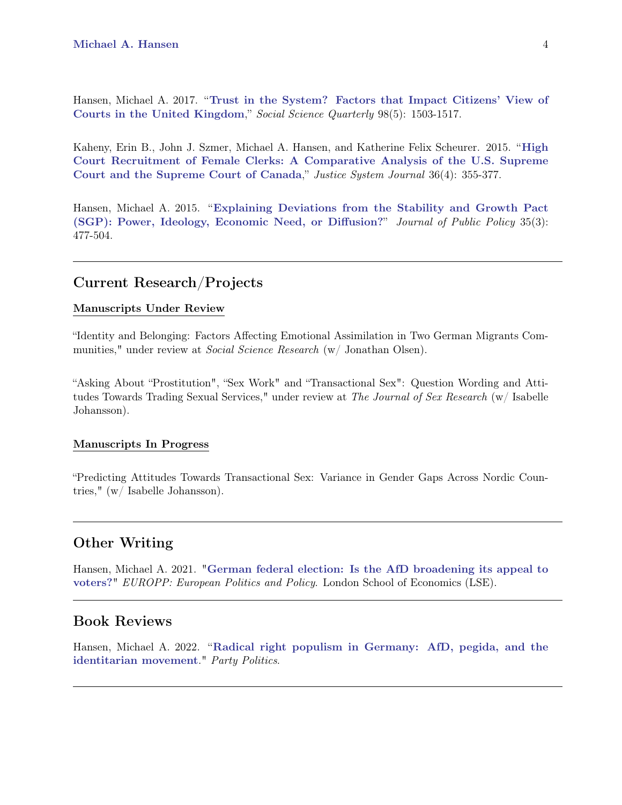Hansen, Michael A. 2017. "[Trust in the System? Factors that Impact Citizens' View of](https://doi.org/10.1111/ssqu.12372) [Courts in the United Kingdom](https://doi.org/10.1111/ssqu.12372)," Social Science Quarterly 98(5): 1503-1517.

Kaheny, Erin B., John J. Szmer, Michael A. Hansen, and Katherine Felix Scheurer. 2015. "[High](https://doi.org/10.1080/0098261X.2014.989791) [Court Recruitment of Female Clerks: A Comparative Analysis of the U.S. Supreme](https://doi.org/10.1080/0098261X.2014.989791) [Court and the Supreme Court of Canada](https://doi.org/10.1080/0098261X.2014.989791)," Justice System Journal 36(4): 355-377.

Hansen, Michael A. 2015. "[Explaining Deviations from the Stability and Growth Pact](https://doi.org/10.1017/S0143814X15000094) [\(SGP\): Power, Ideology, Economic Need, or Diffusion?](https://doi.org/10.1017/S0143814X15000094)" Journal of Public Policy 35(3): 477-504.

#### Current Research/Projects

#### Manuscripts Under Review

"Identity and Belonging: Factors Affecting Emotional Assimilation in Two German Migrants Communities," under review at *Social Science Research* (w/ Jonathan Olsen).

"Asking About "Prostitution", "Sex Work" and "Transactional Sex": Question Wording and Attitudes Towards Trading Sexual Services," under review at The Journal of Sex Research (w/ Isabelle Johansson).

#### Manuscripts In Progress

"Predicting Attitudes Towards Transactional Sex: Variance in Gender Gaps Across Nordic Countries," (w/ Isabelle Johansson).

### Other Writing

Hansen, Michael A. 2021. "[German federal election: Is the AfD broadening its appeal to](https://blogs.lse.ac.uk/europpblog/2021/09/21/german-federal-election-is-the-afd-broadening-its-appeal-to-voters/) [voters?](https://blogs.lse.ac.uk/europpblog/2021/09/21/german-federal-election-is-the-afd-broadening-its-appeal-to-voters/)" EUROPP: European Politics and Policy. London School of Economics (LSE).

#### Book Reviews

Hansen, Michael A. 2022. "[Radical right populism in Germany: AfD, pegida, and the](https://doi.org/10.1177%2F13540688221105565) [identitarian movement](https://doi.org/10.1177%2F13540688221105565)." Party Politics.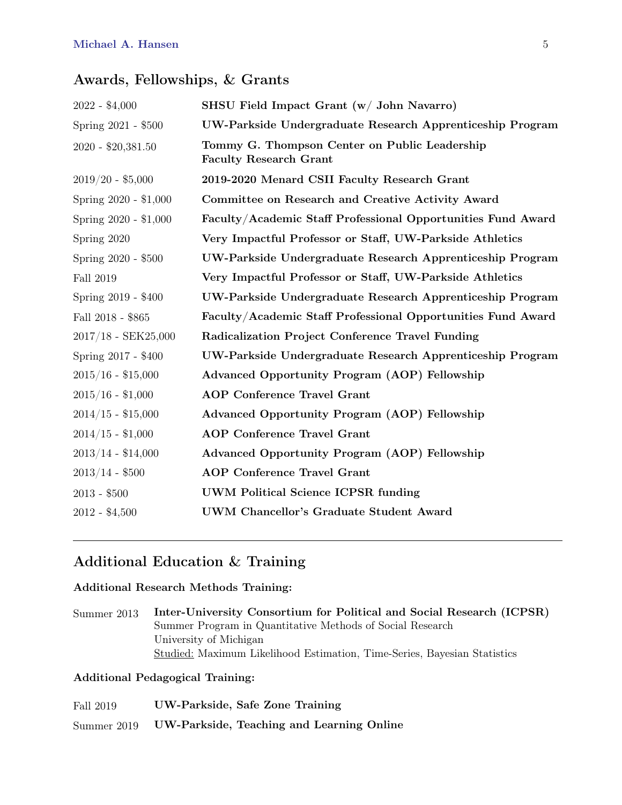### Awards, Fellowships, & Grants

| $2022 - $4,000$       | SHSU Field Impact Grant (w/ John Navarro)                                      |
|-----------------------|--------------------------------------------------------------------------------|
| Spring 2021 - \$500   | UW-Parkside Undergraduate Research Apprenticeship Program                      |
| 2020 - \$20,381.50    | Tommy G. Thompson Center on Public Leadership<br><b>Faculty Research Grant</b> |
| $2019/20 - $5,000$    | 2019-2020 Menard CSII Faculty Research Grant                                   |
| Spring 2020 - \$1,000 | Committee on Research and Creative Activity Award                              |
| Spring 2020 - \$1,000 | Faculty/Academic Staff Professional Opportunities Fund Award                   |
| Spring 2020           | Very Impactful Professor or Staff, UW-Parkside Athletics                       |
| Spring 2020 - \$500   | UW-Parkside Undergraduate Research Apprenticeship Program                      |
| Fall 2019             | Very Impactful Professor or Staff, UW-Parkside Athletics                       |
| Spring 2019 - \$400   | UW-Parkside Undergraduate Research Apprenticeship Program                      |
| Fall 2018 - \$865     | Faculty/Academic Staff Professional Opportunities Fund Award                   |
| $2017/18$ - SEK25,000 | Radicalization Project Conference Travel Funding                               |
| Spring 2017 - \$400   | UW-Parkside Undergraduate Research Apprenticeship Program                      |
| $2015/16 - $15,000$   | Advanced Opportunity Program (AOP) Fellowship                                  |
| $2015/16 - $1,000$    | <b>AOP</b> Conference Travel Grant                                             |
| $2014/15 - $15,000$   | <b>Advanced Opportunity Program (AOP) Fellowship</b>                           |
| $2014/15 - $1,000$    | <b>AOP</b> Conference Travel Grant                                             |
| $2013/14 - $14,000$   | Advanced Opportunity Program (AOP) Fellowship                                  |
| $2013/14$ - $\$500$   | <b>AOP</b> Conference Travel Grant                                             |
| $2013 - $500$         | <b>UWM Political Science ICPSR funding</b>                                     |
| $2012 - $4,500$       | UWM Chancellor's Graduate Student Award                                        |
|                       |                                                                                |

### Additional Education & Training

#### Additional Research Methods Training:

Summer 2013 Inter-University Consortium for Political and Social Research (ICPSR) Summer Program in Quantitative Methods of Social Research University of Michigan Studied: Maximum Likelihood Estimation, Time-Series, Bayesian Statistics

#### Additional Pedagogical Training:

| Fall 2019   | UW-Parkside, Safe Zone Training           |
|-------------|-------------------------------------------|
| Summer 2019 | UW-Parkside, Teaching and Learning Online |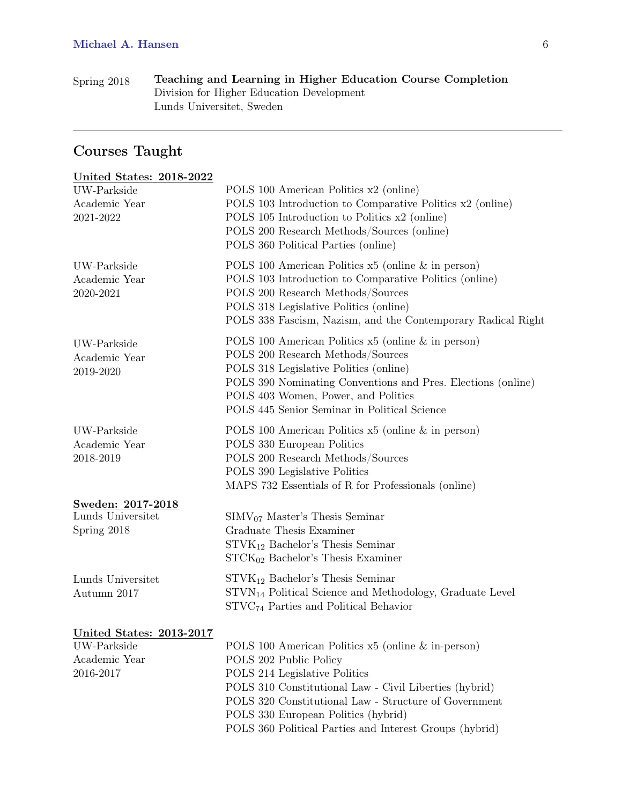| Spring 2018 | Teaching and Learning in Higher Education Course Completion |
|-------------|-------------------------------------------------------------|
|             | Division for Higher Education Development                   |
|             | Lunds Universitet, Sweden                                   |

## Courses Taught

| <b>United States: 2018-2022</b>                                              |                                                                                                                                                                                                                                                                                                                                    |
|------------------------------------------------------------------------------|------------------------------------------------------------------------------------------------------------------------------------------------------------------------------------------------------------------------------------------------------------------------------------------------------------------------------------|
| UW-Parkside<br>Academic Year<br>2021-2022                                    | POLS 100 American Politics x2 (online)<br>POLS 103 Introduction to Comparative Politics x2 (online)<br>POLS 105 Introduction to Politics x2 (online)<br>POLS 200 Research Methods/Sources (online)<br>POLS 360 Political Parties (online)                                                                                          |
| UW-Parkside<br>Academic Year<br>2020-2021                                    | POLS 100 American Politics $x5$ (online $\&$ in person)<br>POLS 103 Introduction to Comparative Politics (online)<br>POLS 200 Research Methods/Sources<br>POLS 318 Legislative Politics (online)<br>POLS 338 Fascism, Nazism, and the Contemporary Radical Right                                                                   |
| UW-Parkside<br>Academic Year<br>2019-2020                                    | POLS 100 American Politics $x5$ (online $\&$ in person)<br>POLS 200 Research Methods/Sources<br>POLS 318 Legislative Politics (online)<br>POLS 390 Nominating Conventions and Pres. Elections (online)<br>POLS 403 Women, Power, and Politics<br>POLS 445 Senior Seminar in Political Science                                      |
| UW-Parkside<br>Academic Year<br>2018-2019                                    | POLS 100 American Politics $x5$ (online $\&$ in person)<br>POLS 330 European Politics<br>POLS 200 Research Methods/Sources<br>POLS 390 Legislative Politics<br>MAPS 732 Essentials of R for Professionals (online)                                                                                                                 |
| Sweden: 2017-2018<br>Lunds Universitet<br>Spring 2018                        | $SIMV07 Master's Thesis Seminar$<br>Graduate Thesis Examiner<br>$STVK_{12}$ Bachelor's Thesis Seminar<br>$STCK_{02}$ Bachelor's Thesis Examiner                                                                                                                                                                                    |
| Lunds Universitet<br>Autumn 2017                                             | $STVK_{12}$ Bachelor's Thesis Seminar<br>STVN <sub>14</sub> Political Science and Methodology, Graduate Level<br>$STVC74$ Parties and Political Behavior                                                                                                                                                                           |
| <b>United States: 2013-2017</b><br>UW-Parkside<br>Academic Year<br>2016-2017 | POLS 100 American Politics x5 (online & in-person)<br>POLS 202 Public Policy<br>POLS 214 Legislative Politics<br>POLS 310 Constitutional Law - Civil Liberties (hybrid)<br>POLS 320 Constitutional Law - Structure of Government<br>POLS 330 European Politics (hybrid)<br>POLS 360 Political Parties and Interest Groups (hybrid) |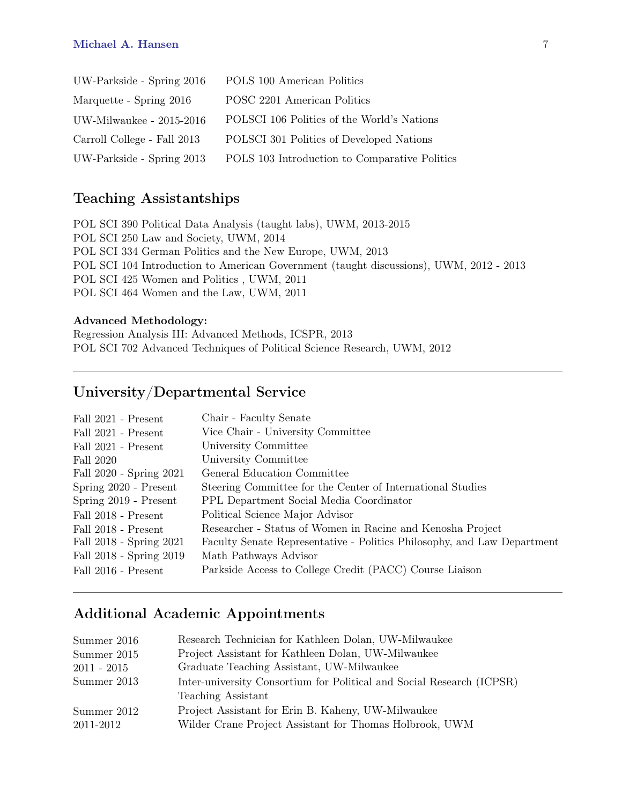#### Michael A. Hansen 7

| UW-Parkside - Spring 2016   | POLS 100 American Politics                    |
|-----------------------------|-----------------------------------------------|
| Marquette - Spring 2016     | POSC 2201 American Politics                   |
| UW-Milwaukee - $2015-2016$  | POLSCI 106 Politics of the World's Nations    |
| Carroll College - Fall 2013 | POLSCI 301 Politics of Developed Nations      |
| UW-Parkside - Spring 2013   | POLS 103 Introduction to Comparative Politics |

### Teaching Assistantships

POL SCI 390 Political Data Analysis (taught labs), UWM, 2013-2015 POL SCI 250 Law and Society, UWM, 2014 POL SCI 334 German Politics and the New Europe, UWM, 2013 POL SCI 104 Introduction to American Government (taught discussions), UWM, 2012 - 2013 POL SCI 425 Women and Politics , UWM, 2011 POL SCI 464 Women and the Law, UWM, 2011

#### Advanced Methodology:

Regression Analysis III: Advanced Methods, ICSPR, 2013 POL SCI 702 Advanced Techniques of Political Science Research, UWM, 2012

### University/Departmental Service

| Fall 2021 - Present     | Chair - Faculty Senate                                                  |
|-------------------------|-------------------------------------------------------------------------|
| Fall 2021 - Present     | Vice Chair - University Committee                                       |
| Fall 2021 - Present     | University Committee                                                    |
| Fall 2020               | University Committee                                                    |
| Fall 2020 - Spring 2021 | General Education Committee                                             |
| Spring 2020 - Present   | Steering Committee for the Center of International Studies              |
| Spring 2019 - Present   | PPL Department Social Media Coordinator                                 |
| Fall 2018 - Present     | Political Science Major Advisor                                         |
| Fall 2018 - Present     | Researcher - Status of Women in Racine and Kenosha Project              |
| Fall 2018 - Spring 2021 | Faculty Senate Representative - Politics Philosophy, and Law Department |
| Fall 2018 - Spring 2019 | Math Pathways Advisor                                                   |
| Fall 2016 - Present     | Parkside Access to College Credit (PACC) Course Liaison                 |

### Additional Academic Appointments

| Summer 2016   | Research Technician for Kathleen Dolan, UW-Milwaukee                  |
|---------------|-----------------------------------------------------------------------|
| Summer 2015   | Project Assistant for Kathleen Dolan, UW-Milwaukee                    |
| $2011 - 2015$ | Graduate Teaching Assistant, UW-Milwaukee                             |
| Summer 2013   | Inter-university Consortium for Political and Social Research (ICPSR) |
|               | Teaching Assistant                                                    |
| Summer 2012   | Project Assistant for Erin B. Kaheny, UW-Milwaukee                    |
| 2011-2012     | Wilder Crane Project Assistant for Thomas Holbrook, UWM               |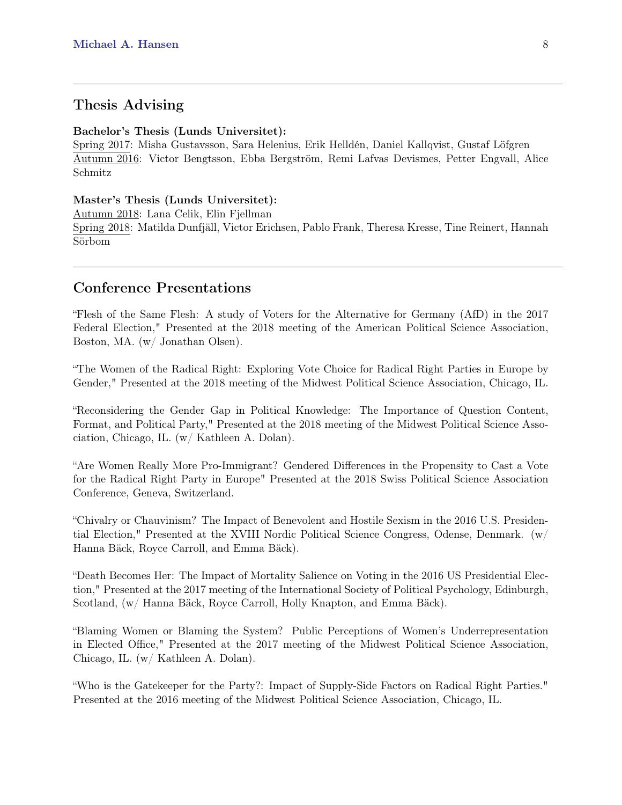### Thesis Advising

#### Bachelor's Thesis (Lunds Universitet):

Spring 2017: Misha Gustavsson, Sara Helenius, Erik Helldén, Daniel Kallqvist, Gustaf Löfgren Autumn 2016: Victor Bengtsson, Ebba Bergström, Remi Lafvas Devismes, Petter Engvall, Alice Schmitz

#### Master's Thesis (Lunds Universitet):

Autumn 2018: Lana Celik, Elin Fjellman Spring 2018: Matilda Dunfjäll, Victor Erichsen, Pablo Frank, Theresa Kresse, Tine Reinert, Hannah Sörbom

### Conference Presentations

"Flesh of the Same Flesh: A study of Voters for the Alternative for Germany (AfD) in the 2017 Federal Election," Presented at the 2018 meeting of the American Political Science Association, Boston, MA. (w/ Jonathan Olsen).

"The Women of the Radical Right: Exploring Vote Choice for Radical Right Parties in Europe by Gender," Presented at the 2018 meeting of the Midwest Political Science Association, Chicago, IL.

"Reconsidering the Gender Gap in Political Knowledge: The Importance of Question Content, Format, and Political Party," Presented at the 2018 meeting of the Midwest Political Science Association, Chicago, IL. (w/ Kathleen A. Dolan).

"Are Women Really More Pro-Immigrant? Gendered Differences in the Propensity to Cast a Vote for the Radical Right Party in Europe" Presented at the 2018 Swiss Political Science Association Conference, Geneva, Switzerland.

"Chivalry or Chauvinism? The Impact of Benevolent and Hostile Sexism in the 2016 U.S. Presidential Election," Presented at the XVIII Nordic Political Science Congress, Odense, Denmark. (w/ Hanna Bäck, Royce Carroll, and Emma Bäck).

"Death Becomes Her: The Impact of Mortality Salience on Voting in the 2016 US Presidential Election," Presented at the 2017 meeting of the International Society of Political Psychology, Edinburgh, Scotland, (w/ Hanna Bäck, Royce Carroll, Holly Knapton, and Emma Bäck).

"Blaming Women or Blaming the System? Public Perceptions of Women's Underrepresentation in Elected Office," Presented at the 2017 meeting of the Midwest Political Science Association, Chicago, IL. (w/ Kathleen A. Dolan).

"Who is the Gatekeeper for the Party?: Impact of Supply-Side Factors on Radical Right Parties." Presented at the 2016 meeting of the Midwest Political Science Association, Chicago, IL.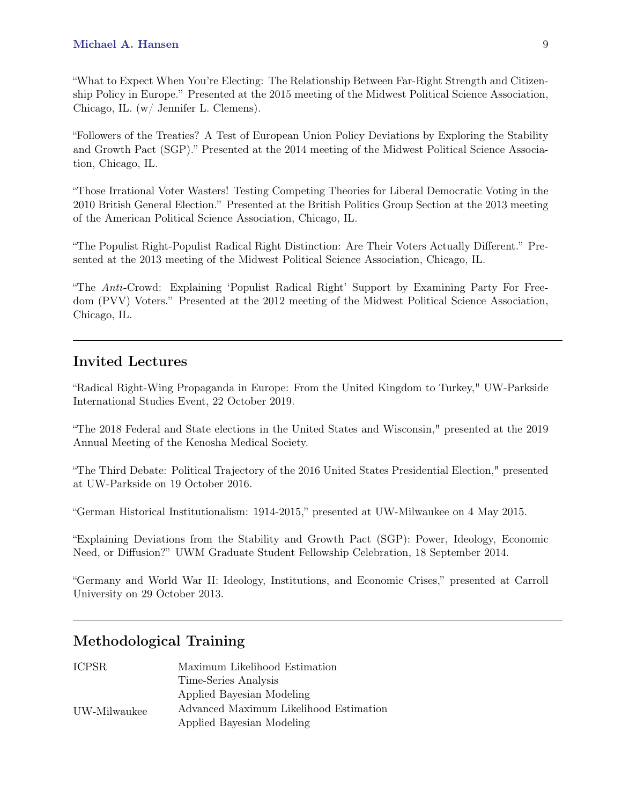"What to Expect When You're Electing: The Relationship Between Far-Right Strength and Citizenship Policy in Europe." Presented at the 2015 meeting of the Midwest Political Science Association, Chicago, IL. (w/ Jennifer L. Clemens).

"Followers of the Treaties? A Test of European Union Policy Deviations by Exploring the Stability and Growth Pact (SGP)." Presented at the 2014 meeting of the Midwest Political Science Association, Chicago, IL.

"Those Irrational Voter Wasters! Testing Competing Theories for Liberal Democratic Voting in the 2010 British General Election." Presented at the British Politics Group Section at the 2013 meeting of the American Political Science Association, Chicago, IL.

"The Populist Right-Populist Radical Right Distinction: Are Their Voters Actually Different." Presented at the 2013 meeting of the Midwest Political Science Association, Chicago, IL.

"The Anti-Crowd: Explaining 'Populist Radical Right' Support by Examining Party For Freedom (PVV) Voters." Presented at the 2012 meeting of the Midwest Political Science Association, Chicago, IL.

### Invited Lectures

"Radical Right-Wing Propaganda in Europe: From the United Kingdom to Turkey," UW-Parkside International Studies Event, 22 October 2019.

"The 2018 Federal and State elections in the United States and Wisconsin," presented at the 2019 Annual Meeting of the Kenosha Medical Society.

"The Third Debate: Political Trajectory of the 2016 United States Presidential Election," presented at UW-Parkside on 19 October 2016.

"German Historical Institutionalism: 1914-2015," presented at UW-Milwaukee on 4 May 2015.

"Explaining Deviations from the Stability and Growth Pact (SGP): Power, Ideology, Economic Need, or Diffusion?" UWM Graduate Student Fellowship Celebration, 18 September 2014.

"Germany and World War II: Ideology, Institutions, and Economic Crises," presented at Carroll University on 29 October 2013.

### Methodological Training

| <b>ICPSR</b> | Maximum Likelihood Estimation          |
|--------------|----------------------------------------|
|              | Time-Series Analysis                   |
|              | Applied Bayesian Modeling              |
| UW-Milwaukee | Advanced Maximum Likelihood Estimation |
|              | Applied Bayesian Modeling              |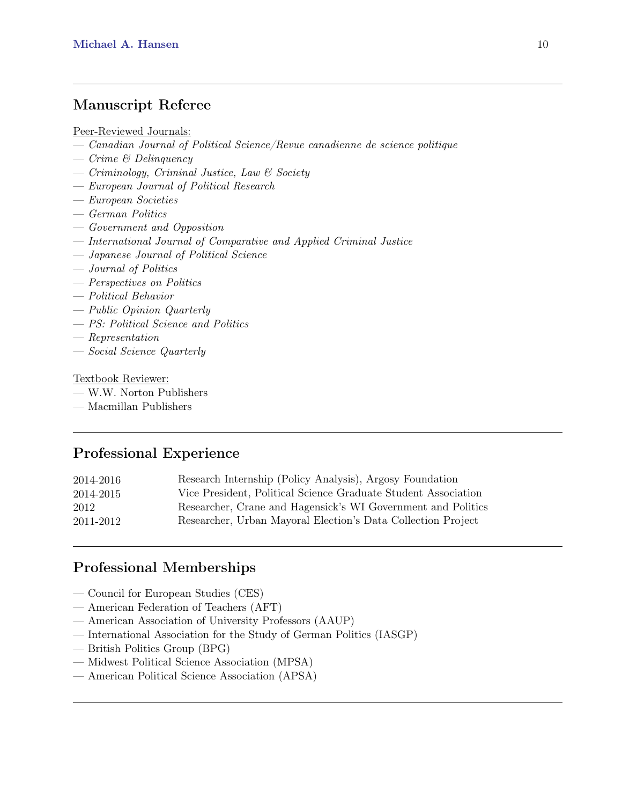### Manuscript Referee

Peer-Reviewed Journals:

- Canadian Journal of Political Science/Revue canadienne de science politique
- Crime & Delinquency
- $\overline{\phantom{C}}$  Criminology, Criminal Justice, Law & Society
- European Journal of Political Research
- European Societies
- German Politics
- Government and Opposition
- International Journal of Comparative and Applied Criminal Justice
- Japanese Journal of Political Science
- Journal of Politics
- Perspectives on Politics
- Political Behavior
- Public Opinion Quarterly
- PS: Political Science and Politics
- Representation
- Social Science Quarterly

#### Textbook Reviewer:

- W.W. Norton Publishers
- Macmillan Publishers

### Professional Experience

| 2014-2016 | Research Internship (Policy Analysis), Argosy Foundation       |
|-----------|----------------------------------------------------------------|
| 2014-2015 | Vice President, Political Science Graduate Student Association |
| 2012      | Researcher, Crane and Hagensick's WI Government and Politics   |
| 2011-2012 | Researcher, Urban Mayoral Election's Data Collection Project   |
|           |                                                                |

### Professional Memberships

- Council for European Studies (CES)
- American Federation of Teachers (AFT)
- American Association of University Professors (AAUP)
- International Association for the Study of German Politics (IASGP)
- British Politics Group (BPG)
- Midwest Political Science Association (MPSA)
- American Political Science Association (APSA)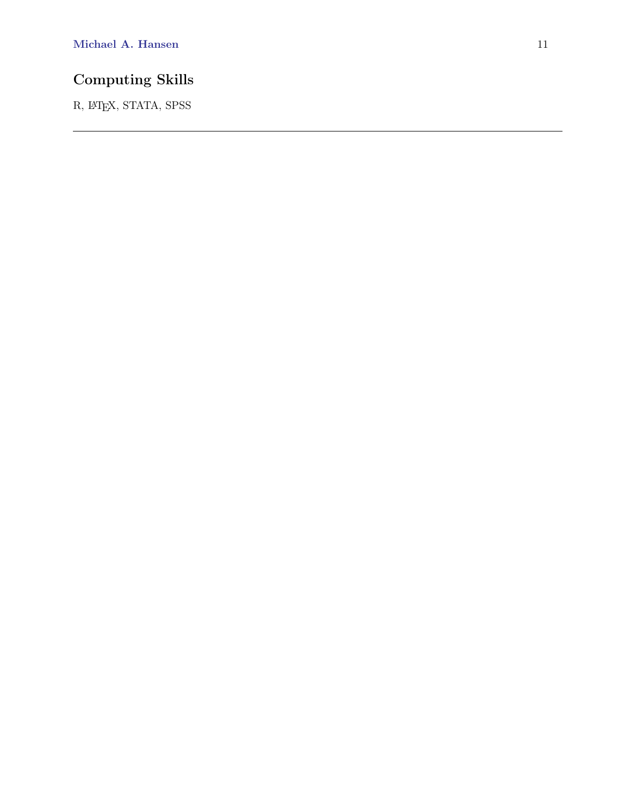## Computing Skills

R, LATEX, STATA, SPSS